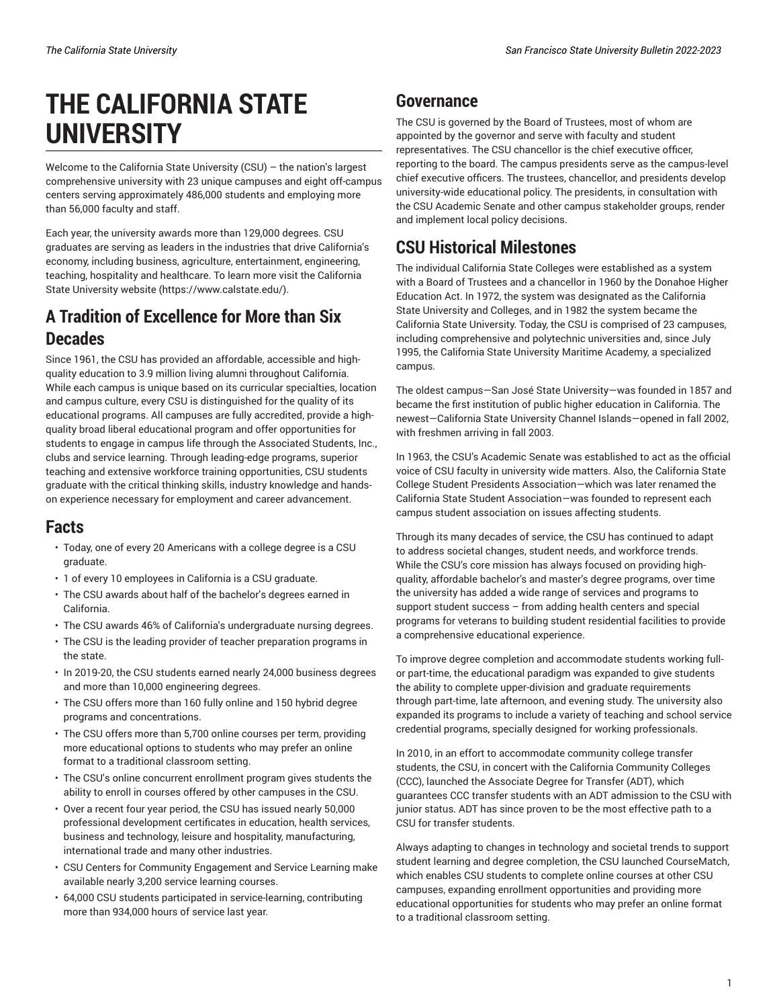# **THE CALIFORNIA STATE UNIVERSITY**

Welcome to the California State University (CSU) – the nation's largest comprehensive university with 23 unique campuses and eight off-campus centers serving approximately 486,000 students and employing more than 56,000 faculty and staff.

Each year, the university awards more than 129,000 degrees. CSU graduates are serving as leaders in the industries that drive California's economy, including business, agriculture, entertainment, engineering, teaching, hospitality and healthcare. To learn more visit [the California](https://www.calstate.edu/) State [University](https://www.calstate.edu/) website ([https://www.calstate.edu/\)](https://www.calstate.edu/).

## **A Tradition of Excellence for More than Six Decades**

Since 1961, the CSU has provided an affordable, accessible and highquality education to 3.9 million living alumni throughout California. While each campus is unique based on its curricular specialties, location and campus culture, every CSU is distinguished for the quality of its educational programs. All campuses are fully accredited, provide a highquality broad liberal educational program and offer opportunities for students to engage in campus life through the Associated Students, Inc., clubs and service learning. Through leading-edge programs, superior teaching and extensive workforce training opportunities, CSU students graduate with the critical thinking skills, industry knowledge and handson experience necessary for employment and career advancement.

#### **Facts**

- Today, one of every 20 Americans with a college degree is a CSU graduate.
- 1 of every 10 employees in California is a CSU graduate.
- The CSU awards about half of the bachelor's degrees earned in California.
- The CSU awards 46% of California's undergraduate nursing degrees.
- The CSU is the leading provider of teacher preparation programs in the state.
- In 2019-20, the CSU students earned nearly 24,000 business degrees and more than 10,000 engineering degrees.
- The CSU offers more than 160 fully online and 150 hybrid degree programs and concentrations.
- The CSU offers more than 5,700 online courses per term, providing more educational options to students who may prefer an online format to a traditional classroom setting.
- The CSU's online concurrent enrollment program gives students the ability to enroll in courses offered by other campuses in the CSU.
- Over a recent four year period, the CSU has issued nearly 50,000 professional development certificates in education, health services, business and technology, leisure and hospitality, manufacturing, international trade and many other industries.
- CSU Centers for Community Engagement and Service Learning make available nearly 3,200 service learning courses.
- 64,000 CSU students participated in service-learning, contributing more than 934,000 hours of service last year.

## **Governance**

The CSU is governed by the Board of Trustees, most of whom are appointed by the governor and serve with faculty and student representatives. The CSU chancellor is the chief executive officer, reporting to the board. The campus presidents serve as the campus-level chief executive officers. The trustees, chancellor, and presidents develop university-wide educational policy. The presidents, in consultation with the CSU Academic Senate and other campus stakeholder groups, render and implement local policy decisions.

## **CSU Historical Milestones**

The individual California State Colleges were established as a system with a Board of Trustees and a chancellor in 1960 by the Donahoe Higher Education Act. In 1972, the system was designated as the California State University and Colleges, and in 1982 the system became the California State University. Today, the CSU is comprised of 23 campuses, including comprehensive and polytechnic universities and, since July 1995, the California State University Maritime Academy, a specialized campus.

The oldest campus—San José State University—was founded in 1857 and became the first institution of public higher education in California. The newest—California State University Channel Islands—opened in fall 2002, with freshmen arriving in fall 2003.

In 1963, the CSU's Academic Senate was established to act as the official voice of CSU faculty in university wide matters. Also, the California State College Student Presidents Association—which was later renamed the California State Student Association—was founded to represent each campus student association on issues affecting students.

Through its many decades of service, the CSU has continued to adapt to address societal changes, student needs, and workforce trends. While the CSU's core mission has always focused on providing highquality, affordable bachelor's and master's degree programs, over time the university has added a wide range of services and programs to support student success – from adding health centers and special programs for veterans to building student residential facilities to provide a comprehensive educational experience.

To improve degree completion and accommodate students working fullor part-time, the educational paradigm was expanded to give students the ability to complete upper-division and graduate requirements through part-time, late afternoon, and evening study. The university also expanded its programs to include a variety of teaching and school service credential programs, specially designed for working professionals.

In 2010, in an effort to accommodate community college transfer students, the CSU, in concert with the California Community Colleges (CCC), launched the Associate Degree for Transfer (ADT), which guarantees CCC transfer students with an ADT admission to the CSU with junior status. ADT has since proven to be the most effective path to a CSU for transfer students.

Always adapting to changes in technology and societal trends to support student learning and degree completion, the CSU launched CourseMatch, which enables CSU students to complete online courses at other CSU campuses, expanding enrollment opportunities and providing more educational opportunities for students who may prefer an online format to a traditional classroom setting.